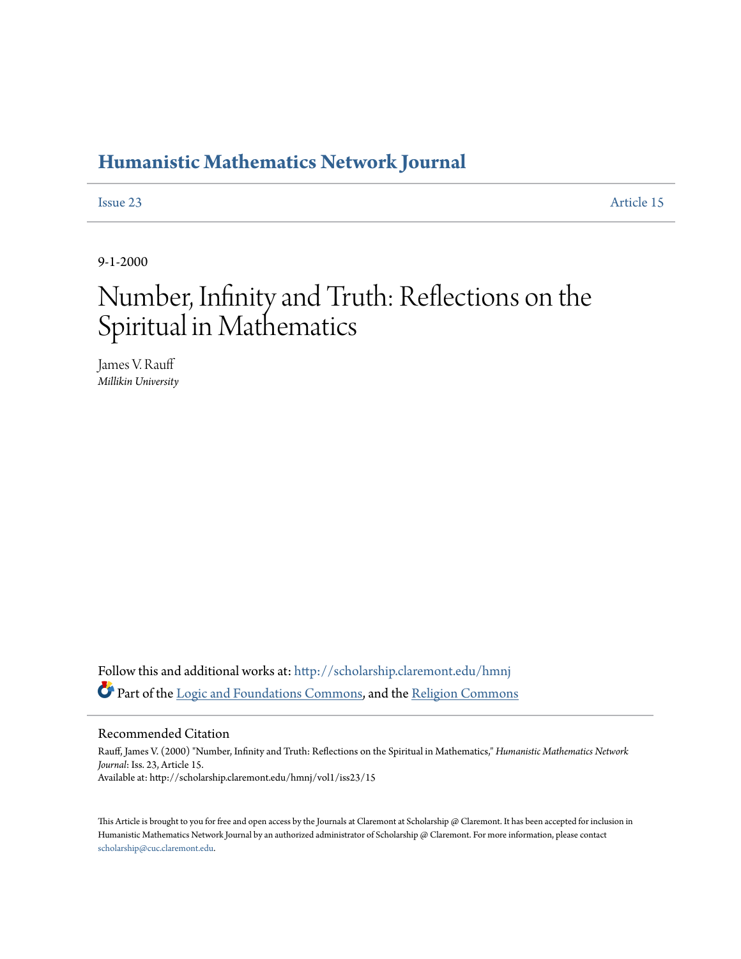# **[Humanistic Mathematics Network Journal](http://scholarship.claremont.edu/hmnj?utm_source=scholarship.claremont.edu%2Fhmnj%2Fvol1%2Fiss23%2F15&utm_medium=PDF&utm_campaign=PDFCoverPages)**

[Issue 23](http://scholarship.claremont.edu/hmnj/vol1/iss23?utm_source=scholarship.claremont.edu%2Fhmnj%2Fvol1%2Fiss23%2F15&utm_medium=PDF&utm_campaign=PDFCoverPages) [Article 15](http://scholarship.claremont.edu/hmnj/vol1/iss23/15?utm_source=scholarship.claremont.edu%2Fhmnj%2Fvol1%2Fiss23%2F15&utm_medium=PDF&utm_campaign=PDFCoverPages)

9-1-2000

# Number, Infinity and Truth: Reflections on the Spiritual in Mathematics

James V. Rauff *Millikin University*

Follow this and additional works at: [http://scholarship.claremont.edu/hmnj](http://scholarship.claremont.edu/hmnj?utm_source=scholarship.claremont.edu%2Fhmnj%2Fvol1%2Fiss23%2F15&utm_medium=PDF&utm_campaign=PDFCoverPages) Part of the [Logic and Foundations Commons,](http://network.bepress.com/hgg/discipline/182?utm_source=scholarship.claremont.edu%2Fhmnj%2Fvol1%2Fiss23%2F15&utm_medium=PDF&utm_campaign=PDFCoverPages) and the [Religion Commons](http://network.bepress.com/hgg/discipline/538?utm_source=scholarship.claremont.edu%2Fhmnj%2Fvol1%2Fiss23%2F15&utm_medium=PDF&utm_campaign=PDFCoverPages)

#### Recommended Citation

Rauff, James V. (2000) "Number, Infinity and Truth: Reflections on the Spiritual in Mathematics," *Humanistic Mathematics Network Journal*: Iss. 23, Article 15. Available at: http://scholarship.claremont.edu/hmnj/vol1/iss23/15

This Article is brought to you for free and open access by the Journals at Claremont at Scholarship @ Claremont. It has been accepted for inclusion in Humanistic Mathematics Network Journal by an authorized administrator of Scholarship @ Claremont. For more information, please contact [scholarship@cuc.claremont.edu.](mailto:scholarship@cuc.claremont.edu)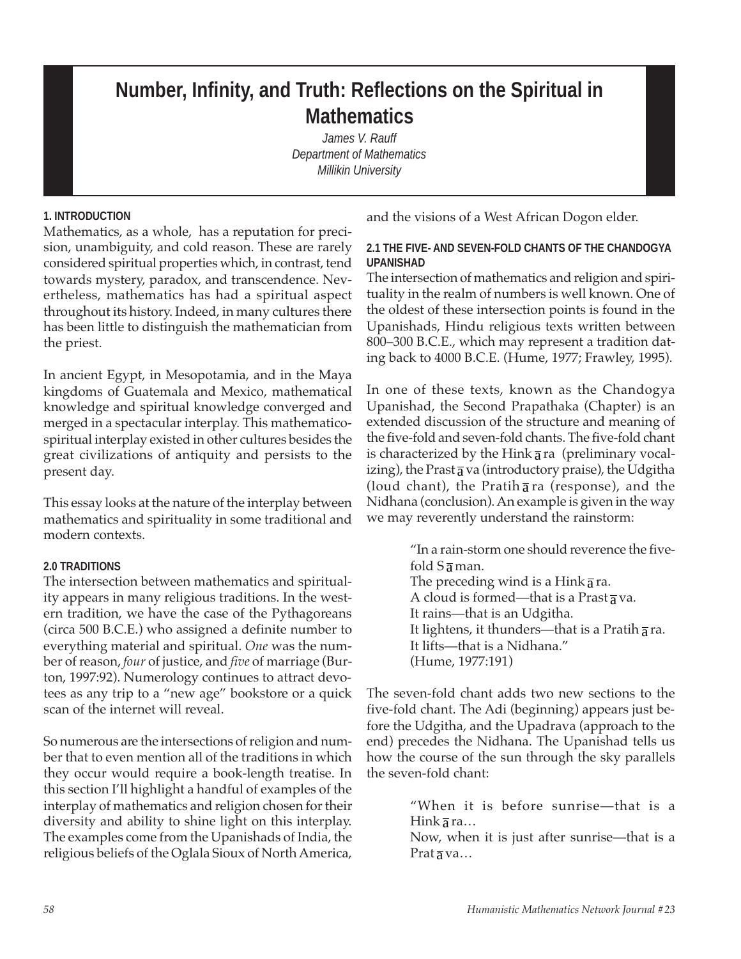# **Number, Infinity, and Truth: Reflections on the Spiritual in Mathematics**

*James V. Rauff Department of Mathematics Millikin University*

# **1. INTRODUCTION**

Mathematics, as a whole, has a reputation for precision, unambiguity, and cold reason. These are rarely considered spiritual properties which, in contrast, tend towards mystery, paradox, and transcendence. Nevertheless, mathematics has had a spiritual aspect throughout its history. Indeed, in many cultures there has been little to distinguish the mathematician from the priest.

In ancient Egypt, in Mesopotamia, and in the Maya kingdoms of Guatemala and Mexico, mathematical knowledge and spiritual knowledge converged and merged in a spectacular interplay. This mathematicospiritual interplay existed in other cultures besides the great civilizations of antiquity and persists to the present day.

This essay looks at the nature of the interplay between mathematics and spirituality in some traditional and modern contexts.

# **2.0 TRADITIONS**

The intersection between mathematics and spirituality appears in many religious traditions. In the western tradition, we have the case of the Pythagoreans (circa 500 B.C.E.) who assigned a definite number to everything material and spiritual. *One* was the number of reason, *four* of justice, and *five* of marriage (Burton, 1997:92). Numerology continues to attract devotees as any trip to a "new age" bookstore or a quick scan of the internet will reveal.

So numerous are the intersections of religion and number that to even mention all of the traditions in which they occur would require a book-length treatise. In this section I'll highlight a handful of examples of the interplay of mathematics and religion chosen for their diversity and ability to shine light on this interplay. The examples come from the Upanishads of India, the religious beliefs of the Oglala Sioux of North America,

and the visions of a West African Dogon elder.

### **2.1 THE FIVE- AND SEVEN-FOLD CHANTS OF THE CHANDOGYA UPANISHAD**

The intersection of mathematics and religion and spirituality in the realm of numbers is well known. One of the oldest of these intersection points is found in the Upanishads, Hindu religious texts written between 800–300 B.C.E., which may represent a tradition dating back to 4000 B.C.E. (Hume, 1977; Frawley, 1995).

In one of these texts, known as the Chandogya Upanishad, the Second Prapathaka (Chapter) is an extended discussion of the structure and meaning of the five-fold and seven-fold chants. The five-fold chant is characterized by the Hink  $\overline{a}$  ra (preliminary vocalizing), the Prast  $\overline{a}$  va (introductory praise), the Udgitha (loud chant), the Pratih  $\overline{a}$  ra (response), and the Nidhana (conclusion). An example is given in the way we may reverently understand the rainstorm:

> "In a rain-storm one should reverence the fivefold  $S_{\overline{a}}$  man. The preceding wind is a Hink  $\overline{a}$  ra. A cloud is formed—that is a Prast  $\frac{1}{3}$  va. It rains—that is an Udgitha. It lightens, it thunders—that is a Pratih  $\overline{a}$  ra. It lifts—that is a Nidhana." (Hume, 1977:191)

The seven-fold chant adds two new sections to the five-fold chant. The Adi (beginning) appears just before the Udgitha, and the Upadrava (approach to the end) precedes the Nidhana. The Upanishad tells us how the course of the sun through the sky parallels the seven-fold chant:

> "When it is before sunrise—that is a Hink  $\overline{a}$  ra...

> Now, when it is just after sunrise—that is a Prat  $\overline{a}$  va...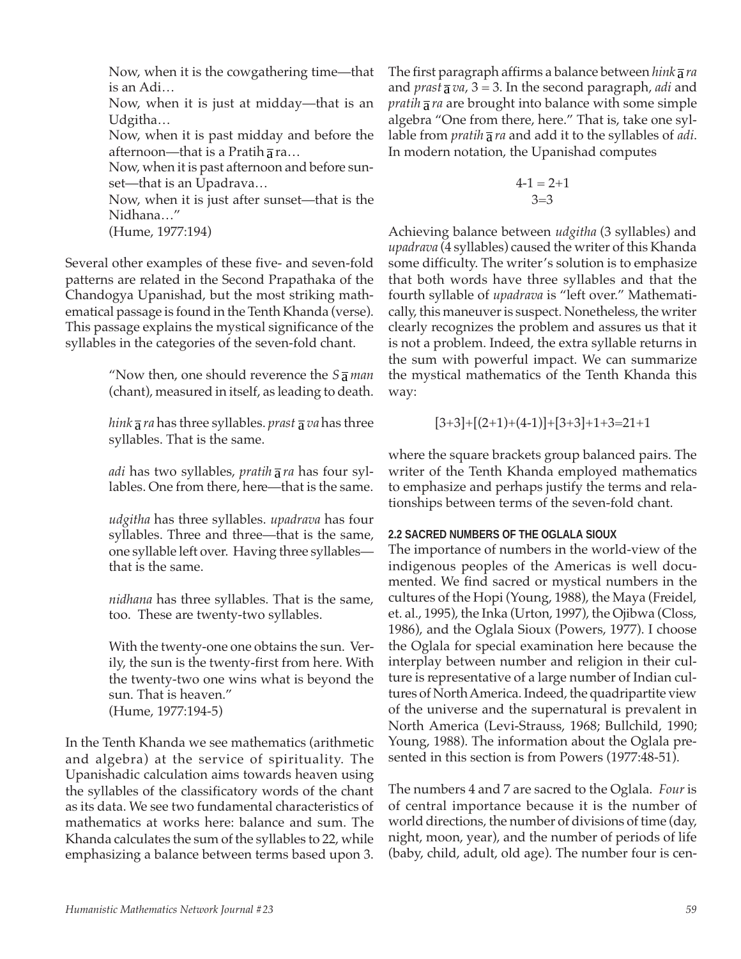Now, when it is the cowgathering time—that is an Adi…

Now, when it is just at midday—that is an Udgitha…

Now, when it is past midday and before the afternoon—that is a Pratih  $\overline{a}$  ra...

Now, when it is past afternoon and before sunset—that is an Upadrava…

Now, when it is just after sunset—that is the Nidhana…"

(Hume, 1977:194)

Several other examples of these five- and seven-fold patterns are related in the Second Prapathaka of the Chandogya Upanishad, but the most striking mathematical passage is found in the Tenth Khanda (verse). This passage explains the mystical significance of the syllables in the categories of the seven-fold chant.

> "Now then, one should reverence the  $S\bar{a}$  *man* (chant), measured in itself, as leading to death.

> *hink*  $\overline{a}$  *ra* has three syllables. *prast*  $\overline{a}$  *va* has three syllables. That is the same.

> *adi* has two syllables, *pratih* a *ra* has four syllables. One from there, here—that is the same.

> *udgitha* has three syllables. *upadrava* has four syllables. Three and three—that is the same, one syllable left over. Having three syllables that is the same.

> *nidhana* has three syllables. That is the same, too. These are twenty-two syllables.

> With the twenty-one one obtains the sun. Verily, the sun is the twenty-first from here. With the twenty-two one wins what is beyond the sun. That is heaven." (Hume, 1977:194-5)

In the Tenth Khanda we see mathematics (arithmetic and algebra) at the service of spirituality. The Upanishadic calculation aims towards heaven using the syllables of the classificatory words of the chant as its data. We see two fundamental characteristics of mathematics at works here: balance and sum. The Khanda calculates the sum of the syllables to 22, while emphasizing a balance between terms based upon 3.

The first paragraph affirms a balance between *hink*  $\overline{a}$  *ra* and *prast*  $\overline{a}$  *va*,  $3 = 3$ . In the second paragraph, *adi* and *pratih*  $\overline{a}$  *ra* are brought into balance with some simple algebra "One from there, here." That is, take one syllable from *pratih*  $\overline{a}$  *ra* and add it to the syllables of *adi*. In modern notation, the Upanishad computes

$$
\begin{array}{c}4\text{-}1=2\text{+}1\\3=\text{-}3\end{array}
$$

Achieving balance between *udgitha* (3 syllables) and *upadrava* (4 syllables) caused the writer of this Khanda some difficulty. The writer's solution is to emphasize that both words have three syllables and that the fourth syllable of *upadrava* is "left over." Mathematically, this maneuver is suspect. Nonetheless, the writer clearly recognizes the problem and assures us that it is not a problem. Indeed, the extra syllable returns in the sum with powerful impact. We can summarize the mystical mathematics of the Tenth Khanda this way:

$$
[3+3]+[(2+1)+(4-1)]+[3+3]+1+3=21+1
$$

where the square brackets group balanced pairs. The writer of the Tenth Khanda employed mathematics to emphasize and perhaps justify the terms and relationships between terms of the seven-fold chant.

#### **2.2 SACRED NUMBERS OF THE OGLALA SIOUX**

The importance of numbers in the world-view of the indigenous peoples of the Americas is well documented. We find sacred or mystical numbers in the cultures of the Hopi (Young, 1988), the Maya (Freidel, et. al., 1995), the Inka (Urton, 1997), the Ojibwa (Closs, 1986), and the Oglala Sioux (Powers, 1977). I choose the Oglala for special examination here because the interplay between number and religion in their culture is representative of a large number of Indian cultures of North America. Indeed, the quadripartite view of the universe and the supernatural is prevalent in North America (Levi-Strauss, 1968; Bullchild, 1990; Young, 1988). The information about the Oglala presented in this section is from Powers (1977:48-51).

The numbers 4 and 7 are sacred to the Oglala. *Four* is of central importance because it is the number of world directions, the number of divisions of time (day, night, moon, year), and the number of periods of life (baby, child, adult, old age). The number four is cen-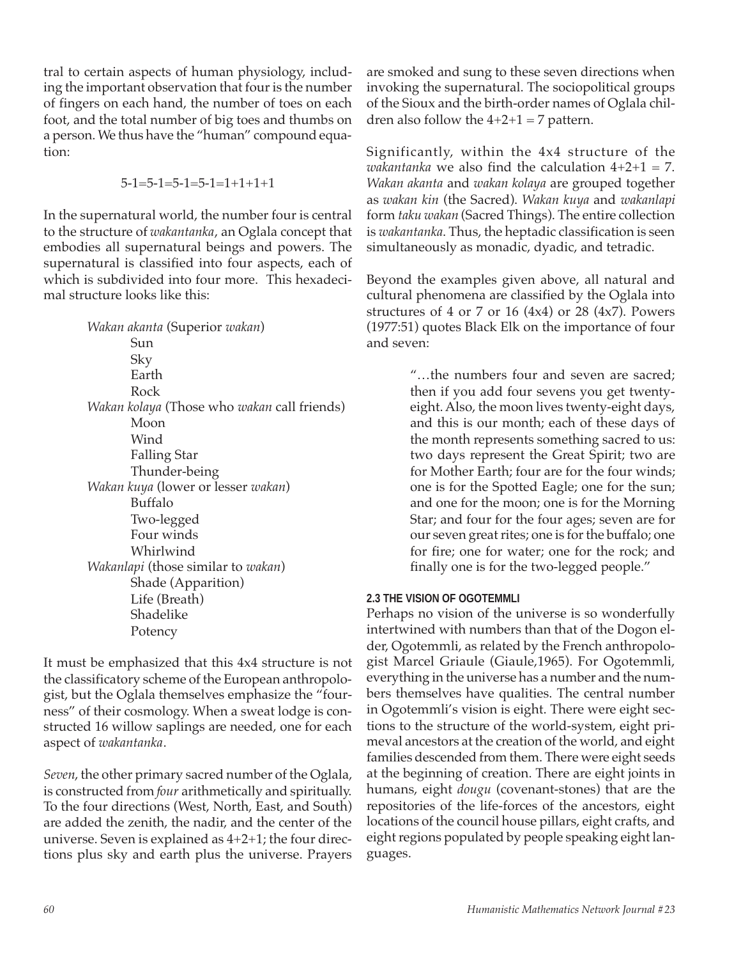tral to certain aspects of human physiology, including the important observation that four is the number of fingers on each hand, the number of toes on each foot, and the total number of big toes and thumbs on a person. We thus have the "human" compound equation:

$$
5-1=5-1=5-1=5-1=1+1+1+1
$$

In the supernatural world, the number four is central to the structure of *wakantanka*, an Oglala concept that embodies all supernatural beings and powers. The supernatural is classified into four aspects, each of which is subdivided into four more. This hexadecimal structure looks like this:

> *Wakan akanta* (Superior *wakan*) Sun Sky Earth Rock *Wakan kolaya* (Those who *wakan* call friends) Moon Wind Falling Star Thunder-being *Wakan kuya* (lower or lesser *wakan*) Buffalo Two-legged Four winds Whirlwind *Wakanlapi* (those similar to *wakan*) Shade (Apparition) Life (Breath) Shadelike Potency

It must be emphasized that this 4x4 structure is not the classificatory scheme of the European anthropologist, but the Oglala themselves emphasize the "fourness" of their cosmology. When a sweat lodge is constructed 16 willow saplings are needed, one for each aspect of *wakantanka*.

*Seven*, the other primary sacred number of the Oglala, is constructed from *four* arithmetically and spiritually. To the four directions (West, North, East, and South) are added the zenith, the nadir, and the center of the universe. Seven is explained as 4+2+1; the four directions plus sky and earth plus the universe. Prayers

are smoked and sung to these seven directions when invoking the supernatural. The sociopolitical groups of the Sioux and the birth-order names of Oglala children also follow the  $4+2+1 = 7$  pattern.

Significantly, within the 4x4 structure of the *wakantanka* we also find the calculation 4+2+1 = 7. *Wakan akanta* and *wakan kolaya* are grouped together as *wakan kin* (the Sacred). *Wakan kuya* and *wakanlapi* form *taku wakan* (Sacred Things). The entire collection is *wakantanka*. Thus, the heptadic classification is seen simultaneously as monadic, dyadic, and tetradic.

Beyond the examples given above, all natural and cultural phenomena are classified by the Oglala into structures of 4 or 7 or 16  $(4x4)$  or 28  $(4x7)$ . Powers (1977:51) quotes Black Elk on the importance of four and seven:

> "…the numbers four and seven are sacred; then if you add four sevens you get twentyeight. Also, the moon lives twenty-eight days, and this is our month; each of these days of the month represents something sacred to us: two days represent the Great Spirit; two are for Mother Earth; four are for the four winds; one is for the Spotted Eagle; one for the sun; and one for the moon; one is for the Morning Star; and four for the four ages; seven are for our seven great rites; one is for the buffalo; one for fire; one for water; one for the rock; and finally one is for the two-legged people."

# **2.3 THE VISION OF OGOTEMMLI**

Perhaps no vision of the universe is so wonderfully intertwined with numbers than that of the Dogon elder, Ogotemmli, as related by the French anthropologist Marcel Griaule (Giaule,1965). For Ogotemmli, everything in the universe has a number and the numbers themselves have qualities. The central number in Ogotemmli's vision is eight. There were eight sections to the structure of the world-system, eight primeval ancestors at the creation of the world, and eight families descended from them. There were eight seeds at the beginning of creation. There are eight joints in humans, eight *dougu* (covenant-stones) that are the repositories of the life-forces of the ancestors, eight locations of the council house pillars, eight crafts, and eight regions populated by people speaking eight languages.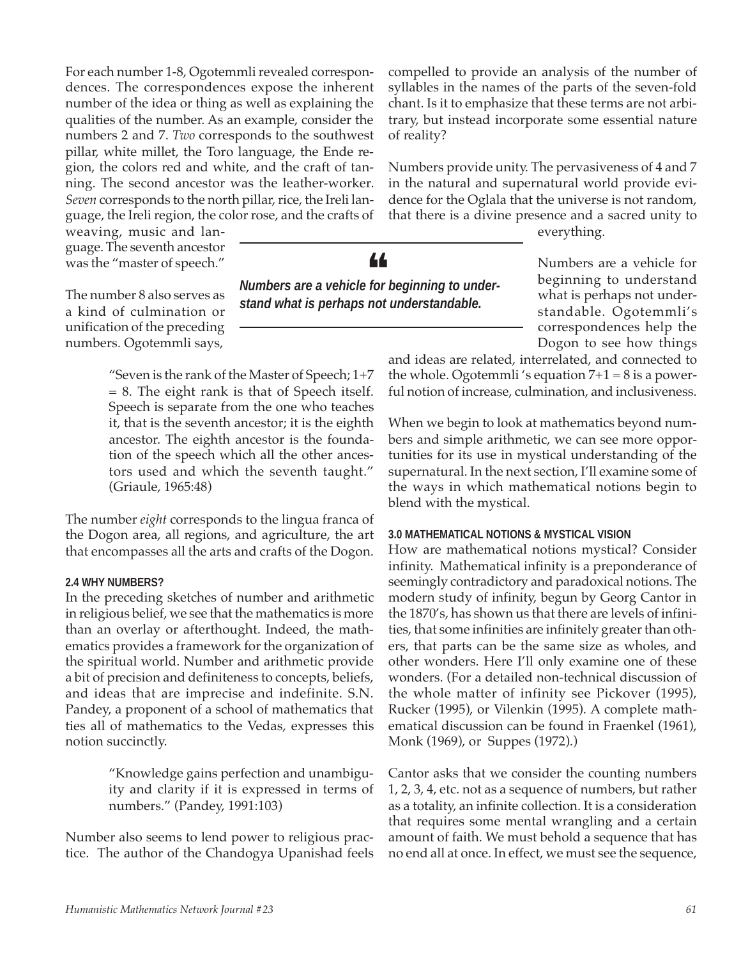For each number 1-8, Ogotemmli revealed correspondences. The correspondences expose the inherent number of the idea or thing as well as explaining the qualities of the number. As an example, consider the numbers 2 and 7. *Two* corresponds to the southwest pillar, white millet, the Toro language, the Ende region, the colors red and white, and the craft of tanning. The second ancestor was the leather-worker. *Seven* corresponds to the north pillar, rice, the Ireli language, the Ireli region, the color rose, and the crafts of

weaving, music and language. The seventh ancestor was the "master of speech."

The number 8 also serves as a kind of culmination or unification of the preceding numbers. Ogotemmli says,

> "Seven is the rank of the Master of Speech; 1+7 = 8. The eight rank is that of Speech itself. Speech is separate from the one who teaches it, that is the seventh ancestor; it is the eighth ancestor. The eighth ancestor is the foundation of the speech which all the other ancestors used and which the seventh taught." (Griaule, 1965:48)

The number *eight* corresponds to the lingua franca of the Dogon area, all regions, and agriculture, the art that encompasses all the arts and crafts of the Dogon.

#### **2.4 WHY NUMBERS?**

In the preceding sketches of number and arithmetic in religious belief, we see that the mathematics is more than an overlay or afterthought. Indeed, the mathematics provides a framework for the organization of the spiritual world. Number and arithmetic provide a bit of precision and definiteness to concepts, beliefs, and ideas that are imprecise and indefinite. S.N. Pandey, a proponent of a school of mathematics that ties all of mathematics to the Vedas, expresses this notion succinctly.

> "Knowledge gains perfection and unambiguity and clarity if it is expressed in terms of numbers." (Pandey, 1991:103)

Number also seems to lend power to religious practice. The author of the Chandogya Upanishad feels

compelled to provide an analysis of the number of syllables in the names of the parts of the seven-fold chant. Is it to emphasize that these terms are not arbitrary, but instead incorporate some essential nature of reality?

Numbers provide unity. The pervasiveness of 4 and 7 in the natural and supernatural world provide evidence for the Oglala that the universe is not random, that there is a divine presence and a sacred unity to

everything.

Numbers are a vehicle for beginning to understand what is perhaps not understandable. Ogotemmli's correspondences help the Dogon to see how things

and ideas are related, interrelated, and connected to the whole. Ogotemmli 's equation  $7+1 = 8$  is a powerful notion of increase, culmination, and inclusiveness.

When we begin to look at mathematics beyond numbers and simple arithmetic, we can see more opportunities for its use in mystical understanding of the supernatural. In the next section, I'll examine some of the ways in which mathematical notions begin to blend with the mystical.

#### **3.0 MATHEMATICAL NOTIONS & MYSTICAL VISION**

How are mathematical notions mystical? Consider infinity. Mathematical infinity is a preponderance of seemingly contradictory and paradoxical notions. The modern study of infinity, begun by Georg Cantor in the 1870's, has shown us that there are levels of infinities, that some infinities are infinitely greater than others, that parts can be the same size as wholes, and other wonders. Here I'll only examine one of these wonders. (For a detailed non-technical discussion of the whole matter of infinity see Pickover (1995), Rucker (1995), or Vilenkin (1995). A complete mathematical discussion can be found in Fraenkel (1961), Monk (1969), or Suppes (1972).)

Cantor asks that we consider the counting numbers 1, 2, 3, 4, etc. not as a sequence of numbers, but rather as a totality, an infinite collection. It is a consideration that requires some mental wrangling and a certain amount of faith. We must behold a sequence that has no end all at once. In effect, we must see the sequence,



*stand what is perhaps not understandable.*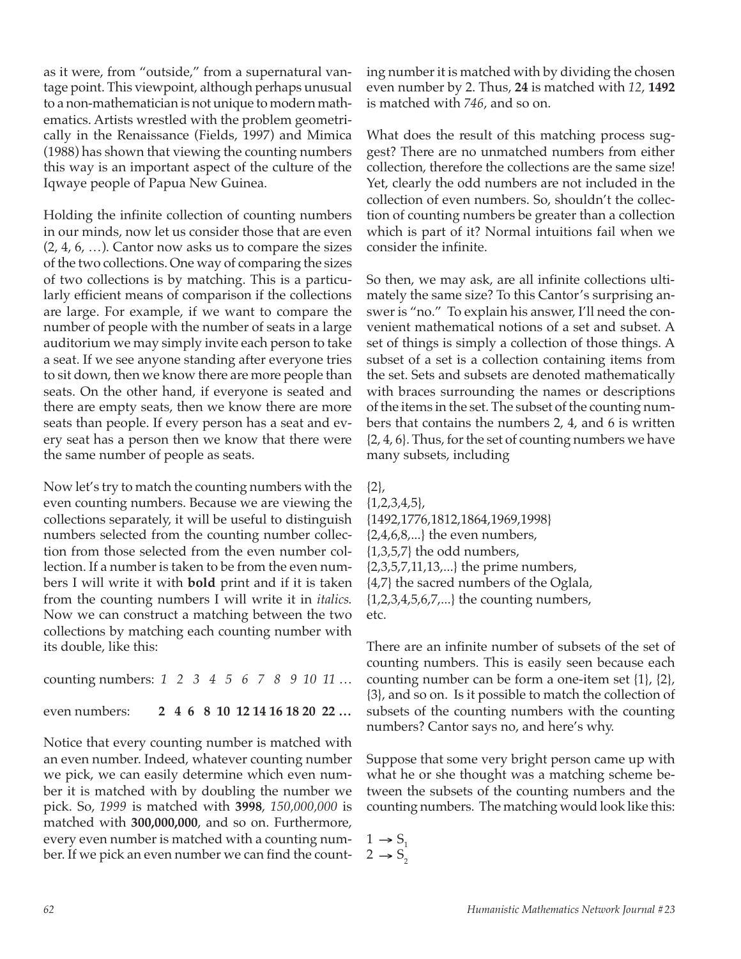as it were, from "outside," from a supernatural vantage point. This viewpoint, although perhaps unusual to a non-mathematician is not unique to modern mathematics. Artists wrestled with the problem geometrically in the Renaissance (Fields, 1997) and Mimica (1988) has shown that viewing the counting numbers this way is an important aspect of the culture of the Iqwaye people of Papua New Guinea.

Holding the infinite collection of counting numbers in our minds, now let us consider those that are even (2, 4, 6, …). Cantor now asks us to compare the sizes of the two collections. One way of comparing the sizes of two collections is by matching. This is a particularly efficient means of comparison if the collections are large. For example, if we want to compare the number of people with the number of seats in a large auditorium we may simply invite each person to take a seat. If we see anyone standing after everyone tries to sit down, then we know there are more people than seats. On the other hand, if everyone is seated and there are empty seats, then we know there are more seats than people. If every person has a seat and every seat has a person then we know that there were the same number of people as seats.

Now let's try to match the counting numbers with the even counting numbers. Because we are viewing the collections separately, it will be useful to distinguish numbers selected from the counting number collection from those selected from the even number collection. If a number is taken to be from the even numbers I will write it with **bold** print and if it is taken from the counting numbers I will write it in *italics*. Now we can construct a matching between the two collections by matching each counting number with its double, like this:

counting numbers: *1 2 3 4 5 6 7 8 9 10 11* … even numbers: **2 4 6 8 10 12 14 16 18 20 22 …**

Notice that every counting number is matched with an even number. Indeed, whatever counting number we pick, we can easily determine which even number it is matched with by doubling the number we pick. So, *1999* is matched with **3998**, *150,000,000* is matched with **300,000,000**, and so on. Furthermore, every even number is matched with a counting number. If we pick an even number we can find the count-

ing number it is matched with by dividing the chosen even number by 2. Thus, **24** is matched with *12*, **1492** is matched with *746*, and so on.

What does the result of this matching process suggest? There are no unmatched numbers from either collection, therefore the collections are the same size! Yet, clearly the odd numbers are not included in the collection of even numbers. So, shouldn't the collection of counting numbers be greater than a collection which is part of it? Normal intuitions fail when we consider the infinite.

So then, we may ask, are all infinite collections ultimately the same size? To this Cantor's surprising answer is "no." To explain his answer, I'll need the convenient mathematical notions of a set and subset. A set of things is simply a collection of those things. A subset of a set is a collection containing items from the set. Sets and subsets are denoted mathematically with braces surrounding the names or descriptions of the items in the set. The subset of the counting numbers that contains the numbers 2, 4, and 6 is written {2, 4, 6}. Thus, for the set of counting numbers we have many subsets, including

{2}, {1,2,3,4,5}, {1492,1776,1812,1864,1969,1998}  $\{2,4,6,8,...\}$  the even numbers,  $\{1,3,5,7\}$  the odd numbers, {2,3,5,7,11,13,...} the prime numbers, {4,7} the sacred numbers of the Oglala, {1,2,3,4,5,6,7,...} the counting numbers, etc.

There are an infinite number of subsets of the set of counting numbers. This is easily seen because each counting number can be form a one-item set {1}, {2}, {3}, and so on. Is it possible to match the collection of subsets of the counting numbers with the counting numbers? Cantor says no, and here's why.

Suppose that some very bright person came up with what he or she thought was a matching scheme between the subsets of the counting numbers and the counting numbers. The matching would look like this:

```
1 \rightarrow S_12 \rightarrow S
```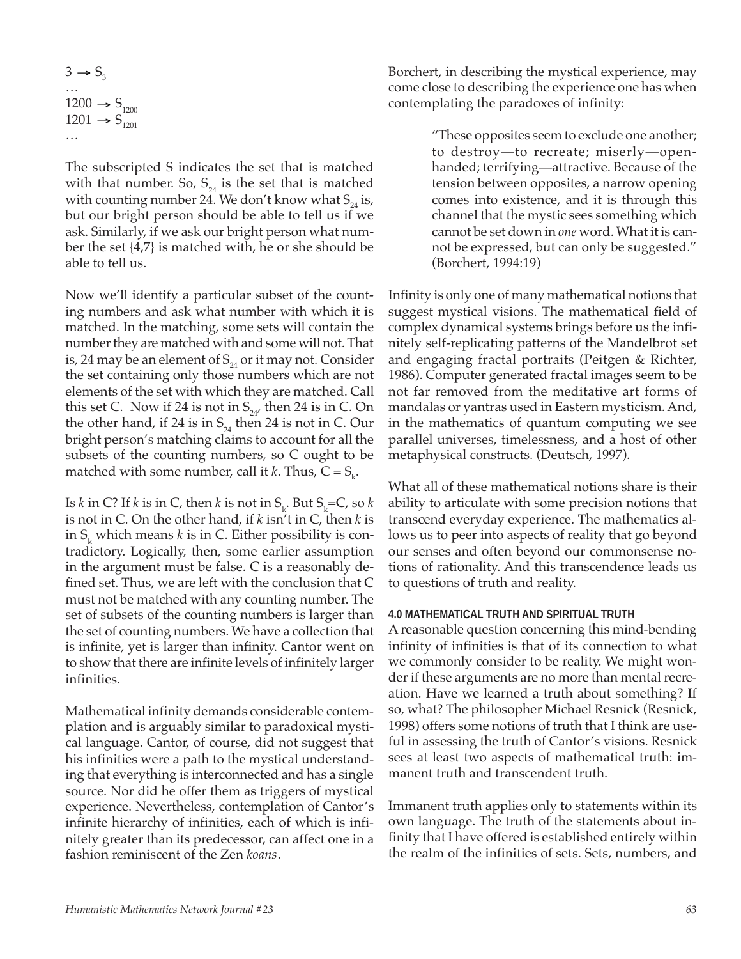$3 \rightarrow S_3$ …  $1200 \rightarrow S_{1200}$  $1201 \rightarrow S_{1201}$ …

The subscripted S indicates the set that is matched with that number. So,  $S_{24}$  is the set that is matched with counting number 24. We don't know what  $S_{24}$  is, but our bright person should be able to tell us if we ask. Similarly, if we ask our bright person what number the set {4,7} is matched with, he or she should be able to tell us.

Now we'll identify a particular subset of the counting numbers and ask what number with which it is matched. In the matching, some sets will contain the number they are matched with and some will not. That is, 24 may be an element of  $S_{24}$  or it may not. Consider the set containing only those numbers which are not elements of the set with which they are matched. Call this set C. Now if 24 is not in  $S_{24}$ , then 24 is in C. On the other hand, if 24 is in  $S_{24}$  then 24 is not in C. Our bright person's matching claims to account for all the subsets of the counting numbers, so C ought to be matched with some number, call it *k*. Thus,  $C = S_k$ .

Is *k* in C? If *k* is in C, then *k* is not in  $S_k$ . But  $S_k$ =C, so *k* is not in C. On the other hand, if *k* isn't in C, then *k* is in  $S_k$  which means *k* is in C. Either possibility is contradictory. Logically, then, some earlier assumption in the argument must be false. C is a reasonably defined set. Thus, we are left with the conclusion that C must not be matched with any counting number. The set of subsets of the counting numbers is larger than the set of counting numbers. We have a collection that is infinite, yet is larger than infinity. Cantor went on to show that there are infinite levels of infinitely larger infinities.

Mathematical infinity demands considerable contemplation and is arguably similar to paradoxical mystical language. Cantor, of course, did not suggest that his infinities were a path to the mystical understanding that everything is interconnected and has a single source. Nor did he offer them as triggers of mystical experience. Nevertheless, contemplation of Cantor's infinite hierarchy of infinities, each of which is infinitely greater than its predecessor, can affect one in a fashion reminiscent of the Zen *koans*.

Borchert, in describing the mystical experience, may come close to describing the experience one has when contemplating the paradoxes of infinity:

> "These opposites seem to exclude one another; to destroy—to recreate; miserly—openhanded; terrifying—attractive. Because of the tension between opposites, a narrow opening comes into existence, and it is through this channel that the mystic sees something which cannot be set down in *one* word. What it is cannot be expressed, but can only be suggested." (Borchert, 1994:19)

Infinity is only one of many mathematical notions that suggest mystical visions. The mathematical field of complex dynamical systems brings before us the infinitely self-replicating patterns of the Mandelbrot set and engaging fractal portraits (Peitgen & Richter, 1986). Computer generated fractal images seem to be not far removed from the meditative art forms of mandalas or yantras used in Eastern mysticism. And, in the mathematics of quantum computing we see parallel universes, timelessness, and a host of other metaphysical constructs. (Deutsch, 1997).

What all of these mathematical notions share is their ability to articulate with some precision notions that transcend everyday experience. The mathematics allows us to peer into aspects of reality that go beyond our senses and often beyond our commonsense notions of rationality. And this transcendence leads us to questions of truth and reality.

#### **4.0 MATHEMATICAL TRUTH AND SPIRITUAL TRUTH**

A reasonable question concerning this mind-bending infinity of infinities is that of its connection to what we commonly consider to be reality. We might wonder if these arguments are no more than mental recreation. Have we learned a truth about something? If so, what? The philosopher Michael Resnick (Resnick, 1998) offers some notions of truth that I think are useful in assessing the truth of Cantor's visions. Resnick sees at least two aspects of mathematical truth: immanent truth and transcendent truth.

Immanent truth applies only to statements within its own language. The truth of the statements about infinity that I have offered is established entirely within the realm of the infinities of sets. Sets, numbers, and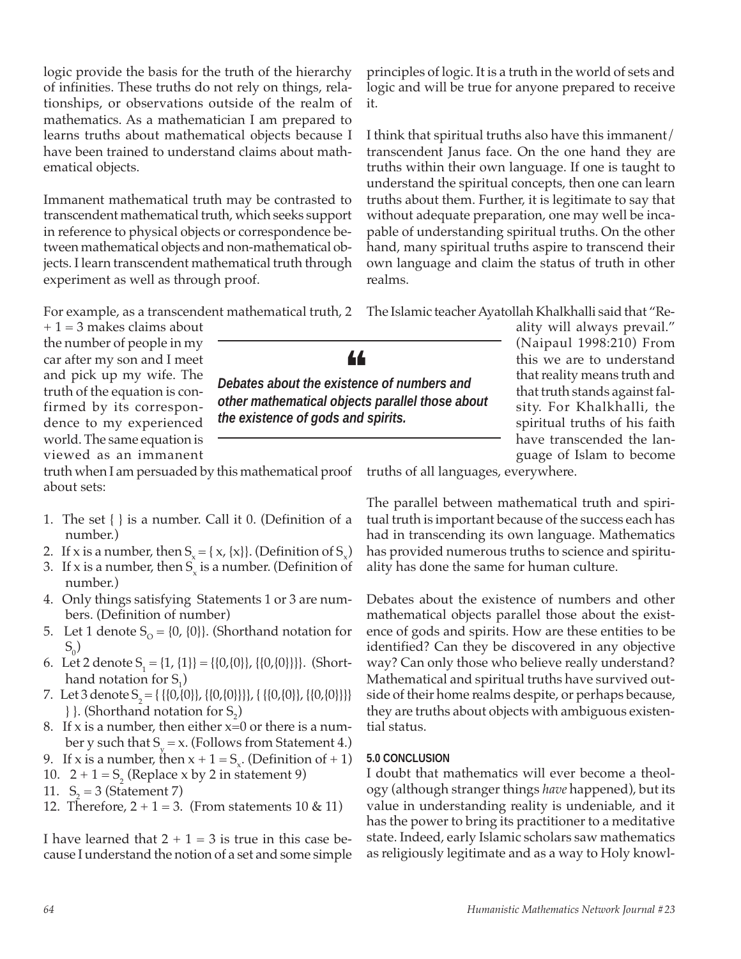logic provide the basis for the truth of the hierarchy of infinities. These truths do not rely on things, relationships, or observations outside of the realm of mathematics. As a mathematician I am prepared to learns truths about mathematical objects because I have been trained to understand claims about mathematical objects.

Immanent mathematical truth may be contrasted to transcendent mathematical truth, which seeks support in reference to physical objects or correspondence between mathematical objects and non-mathematical objects. I learn transcendent mathematical truth through experiment as well as through proof.

For example, as a transcendent mathematical truth, 2

 $+ 1 = 3$  makes claims about the number of people in my car after my son and I meet and pick up my wife. The truth of the equation is confirmed by its correspondence to my experienced world. The same equation is viewed as an immanent

truth when I am persuaded by this mathematical proof about sets:

- 1. The set { } is a number. Call it 0. (Definition of a number.)
- 2. If x is a number, then  $S_{\gamma} = \{x, \{x\}\}\$ . (Definition of  $S_{\gamma}$ )
- 3. If x is a number, then  $S_{x}$  is a number. (Definition of number.)
- 4. Only things satisfying Statements 1 or 3 are numbers. (Definition of number)
- 5. Let 1 denote  $S_0 = \{0, \{0\}\}\)$ . (Shorthand notation for  $S_{0}$ )
- 6. Let 2 denote  $S_1 = \{1, \{1\}\} = \{\{0,\{0\}\}\}\$ . (Shorthand notation for  $S_1$ )
- 7. Let 3 denote  $S_2 = \{ \{ \{0, \{0\} \}, \{ \{0, \{0\} \} \} \}, \{ \{ \{0, \{0\} \} \}, \{ \{0, \{0\} \} \} \}$  $\}$ . (Shorthand notation for  $S_2$ )
- 8. If x is a number, then either  $x=0$  or there is a number y such that  $S_y = x$ . (Follows from Statement 4.)
- 9. If x is a number, then  $x + 1 = S_x$ . (Definition of + 1)
- 10.  $2 + 1 = S_2$  (Replace x by 2 in statement 9)
- 11.  $S_2 = 3$  (Statement 7)
- 12. Therefore,  $2 + 1 = 3$ . (From statements 10 & 11)

I have learned that  $2 + 1 = 3$  is true in this case because I understand the notion of a set and some simple

principles of logic. It is a truth in the world of sets and logic and will be true for anyone prepared to receive it.

I think that spiritual truths also have this immanent/ transcendent Janus face. On the one hand they are truths within their own language. If one is taught to understand the spiritual concepts, then one can learn truths about them. Further, it is legitimate to say that without adequate preparation, one may well be incapable of understanding spiritual truths. On the other hand, many spiritual truths aspire to transcend their own language and claim the status of truth in other realms.

The Islamic teacher Ayatollah Khalkhalli said that "Re-

ality will always prevail." (Naipaul 1998:210) From this we are to understand that reality means truth and that truth stands against falsity. For Khalkhalli, the spiritual truths of his faith have transcended the language of Islam to become

truths of all languages, everywhere.

The parallel between mathematical truth and spiritual truth is important because of the success each has had in transcending its own language. Mathematics has provided numerous truths to science and spirituality has done the same for human culture.

Debates about the existence of numbers and other mathematical objects parallel those about the existence of gods and spirits. How are these entities to be identified? Can they be discovered in any objective way? Can only those who believe really understand? Mathematical and spiritual truths have survived outside of their home realms despite, or perhaps because, they are truths about objects with ambiguous existential status.

# **5.0 CONCLUSION**

I doubt that mathematics will ever become a theology (although stranger things *have* happened), but its value in understanding reality is undeniable, and it has the power to bring its practitioner to a meditative state. Indeed, early Islamic scholars saw mathematics as religiously legitimate and as a way to Holy knowl-



*other mathematical objects parallel those about*

*the existence of gods and spirits.*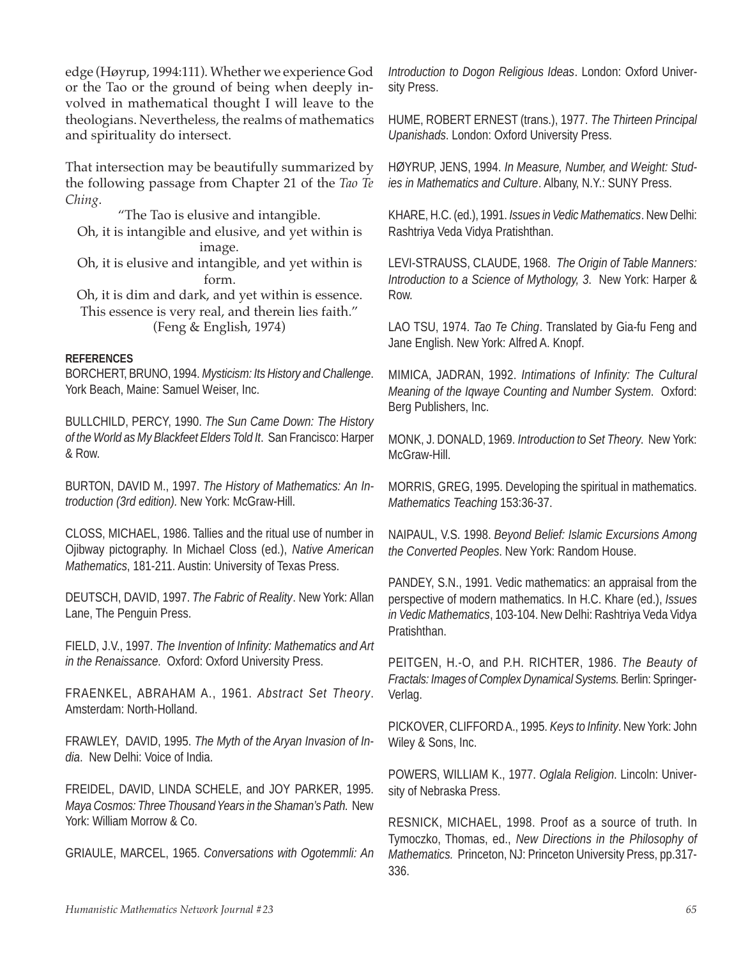edge (Høyrup, 1994:111). Whether we experience God or the Tao or the ground of being when deeply involved in mathematical thought I will leave to the theologians. Nevertheless, the realms of mathematics and spirituality do intersect.

That intersection may be beautifully summarized by the following passage from Chapter 21 of the *Tao Te Ching*.

"The Tao is elusive and intangible.

Oh, it is intangible and elusive, and yet within is image.

Oh, it is elusive and intangible, and yet within is form.

Oh, it is dim and dark, and yet within is essence. This essence is very real, and therein lies faith." (Feng & English, 1974)

#### **REFERENCES**

BORCHERT, BRUNO, 1994. *Mysticism: Its History and Challenge*. York Beach, Maine: Samuel Weiser, Inc.

BULLCHILD, PERCY, 1990. *The Sun Came Down: The History of the World as My Blackfeet Elders Told It*. San Francisco: Harper & Row.

BURTON, DAVID M., 1997. *The History of Mathematics: An Introduction (3rd edition).* New York: McGraw-Hill.

CLOSS, MICHAEL, 1986. Tallies and the ritual use of number in Ojibway pictography. In Michael Closs (ed.), *Native American Mathematics*, 181-211. Austin: University of Texas Press.

DEUTSCH, DAVID, 1997. *The Fabric of Reality*. New York: Allan Lane, The Penguin Press.

FIELD, J.V., 1997. *The Invention of Infinity: Mathematics and Art in the Renaissance*. Oxford: Oxford University Press.

FRAENKEL, ABRAHAM A., 1961. *Abstract Set Theory*. Amsterdam: North-Holland.

FRAWLEY, DAVID, 1995. *The Myth of the Aryan Invasion of India*. New Delhi: Voice of India.

FREIDEL, DAVID, LINDA SCHELE, and JOY PARKER, 1995. *Maya Cosmos: Three Thousand Years in the Shaman's Path*. New York: William Morrow & Co.

GRIAULE, MARCEL, 1965. *Conversations with Ogotemmli: An*

*Introduction to Dogon Religious Ideas*. London: Oxford University Press.

HUME, ROBERT ERNEST (trans.), 1977. *The Thirteen Principal Upanishads*. London: Oxford University Press.

HØYRUP, JENS, 1994. *In Measure, Number, and Weight: Studies in Mathematics and Culture*. Albany, N.Y.: SUNY Press.

KHARE, H.C. (ed.), 1991. *Issues in Vedic Mathematics*. New Delhi: Rashtriya Veda Vidya Pratishthan.

LEVI-STRAUSS, CLAUDE, 1968. *The Origin of Table Manners: Introduction to a Science of Mythology, 3*. New York: Harper & Row.

LAO TSU, 1974. *Tao Te Ching*. Translated by Gia-fu Feng and Jane English. New York: Alfred A. Knopf.

MIMICA, JADRAN, 1992. *Intimations of Infinity: The Cultural Meaning of the Iqwaye Counting and Number System*. Oxford: Berg Publishers, Inc.

MONK, J. DONALD, 1969. *Introduction to Set Theory*. New York: McGraw-Hill.

MORRIS, GREG, 1995. Developing the spiritual in mathematics. *Mathematics Teaching* 153:36-37.

NAIPAUL, V.S. 1998. *Beyond Belief: Islamic Excursions Among the Converted Peoples*. New York: Random House.

PANDEY, S.N., 1991. Vedic mathematics: an appraisal from the perspective of modern mathematics. In H.C. Khare (ed.), *Issues in Vedic Mathematics*, 103-104. New Delhi: Rashtriya Veda Vidya Pratishthan.

PEITGEN, H.-O, and P.H. RICHTER, 1986. *The Beauty of Fractals: Images of Complex Dynamical Systems.* Berlin: Springer-Verlag.

PICKOVER, CLIFFORD A., 1995. *Keys to Infinity*. New York: John Wiley & Sons, Inc.

POWERS, WILLIAM K., 1977. *Oglala Religion*. Lincoln: University of Nebraska Press.

RESNICK, MICHAEL, 1998. Proof as a source of truth. In Tymoczko, Thomas, ed., *New Directions in the Philosophy of Mathematics.* Princeton, NJ: Princeton University Press, pp.317- 336.